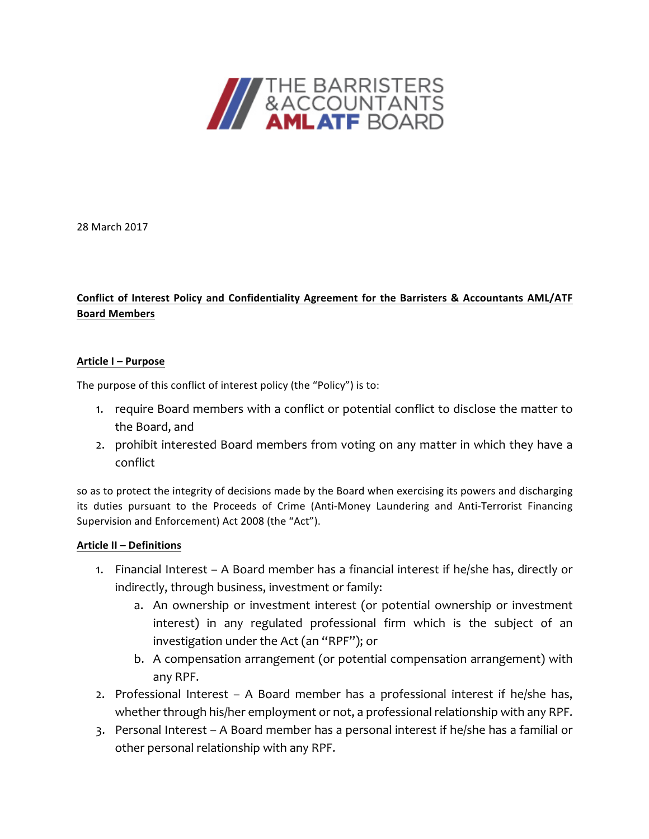

28 March 2017

### Conflict of Interest Policy and Confidentiality Agreement for the Barristers & Accountants AML/ATF **Board Members**

#### **Article I – Purpose**

The purpose of this conflict of interest policy (the "Policy") is to:

- 1. require Board members with a conflict or potential conflict to disclose the matter to the Board, and
- 2. prohibit interested Board members from voting on any matter in which they have a conflict

so as to protect the integrity of decisions made by the Board when exercising its powers and discharging its duties pursuant to the Proceeds of Crime (Anti-Money Laundering and Anti-Terrorist Financing Supervision and Enforcement) Act 2008 (the "Act").

#### **Article II – Definitions**

- 1. Financial Interest A Board member has a financial interest if he/she has, directly or indirectly, through business, investment or family:
	- a. An ownership or investment interest (or potential ownership or investment interest) in any regulated professional firm which is the subject of an investigation under the Act (an "RPF"); or
	- b. A compensation arrangement (or potential compensation arrangement) with any RPF.
- 2. Professional Interest A Board member has a professional interest if he/she has, whether through his/her employment or not, a professional relationship with any RPF.
- 3. Personal Interest A Board member has a personal interest if he/she has a familial or other personal relationship with any RPF.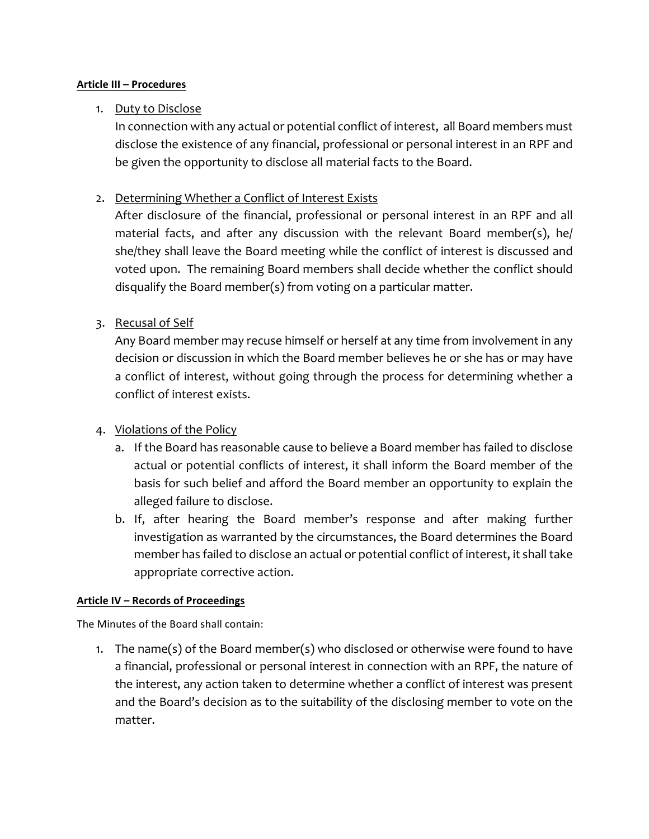### **Article III – Procedures**

# 1. Duty to Disclose

In connection with any actual or potential conflict of interest, all Board members must disclose the existence of any financial, professional or personal interest in an RPF and be given the opportunity to disclose all material facts to the Board.

# 2. Determining Whether a Conflict of Interest Exists

After disclosure of the financial, professional or personal interest in an RPF and all material facts, and after any discussion with the relevant Board member(s), he/ she/they shall leave the Board meeting while the conflict of interest is discussed and voted upon. The remaining Board members shall decide whether the conflict should disqualify the Board member(s) from voting on a particular matter.

# 3. Recusal of Self

Any Board member may recuse himself or herself at any time from involvement in any decision or discussion in which the Board member believes he or she has or may have a conflict of interest, without going through the process for determining whether a conflict of interest exists.

## 4. Violations of the Policy

- a. If the Board has reasonable cause to believe a Board member has failed to disclose actual or potential conflicts of interest, it shall inform the Board member of the basis for such belief and afford the Board member an opportunity to explain the alleged failure to disclose.
- b. If, after hearing the Board member's response and after making further investigation as warranted by the circumstances, the Board determines the Board member has failed to disclose an actual or potential conflict of interest, it shall take appropriate corrective action.

## **Article IV – Records of Proceedings**

The Minutes of the Board shall contain:

1. The name(s) of the Board member(s) who disclosed or otherwise were found to have a financial, professional or personal interest in connection with an RPF, the nature of the interest, any action taken to determine whether a conflict of interest was present and the Board's decision as to the suitability of the disclosing member to vote on the matter.